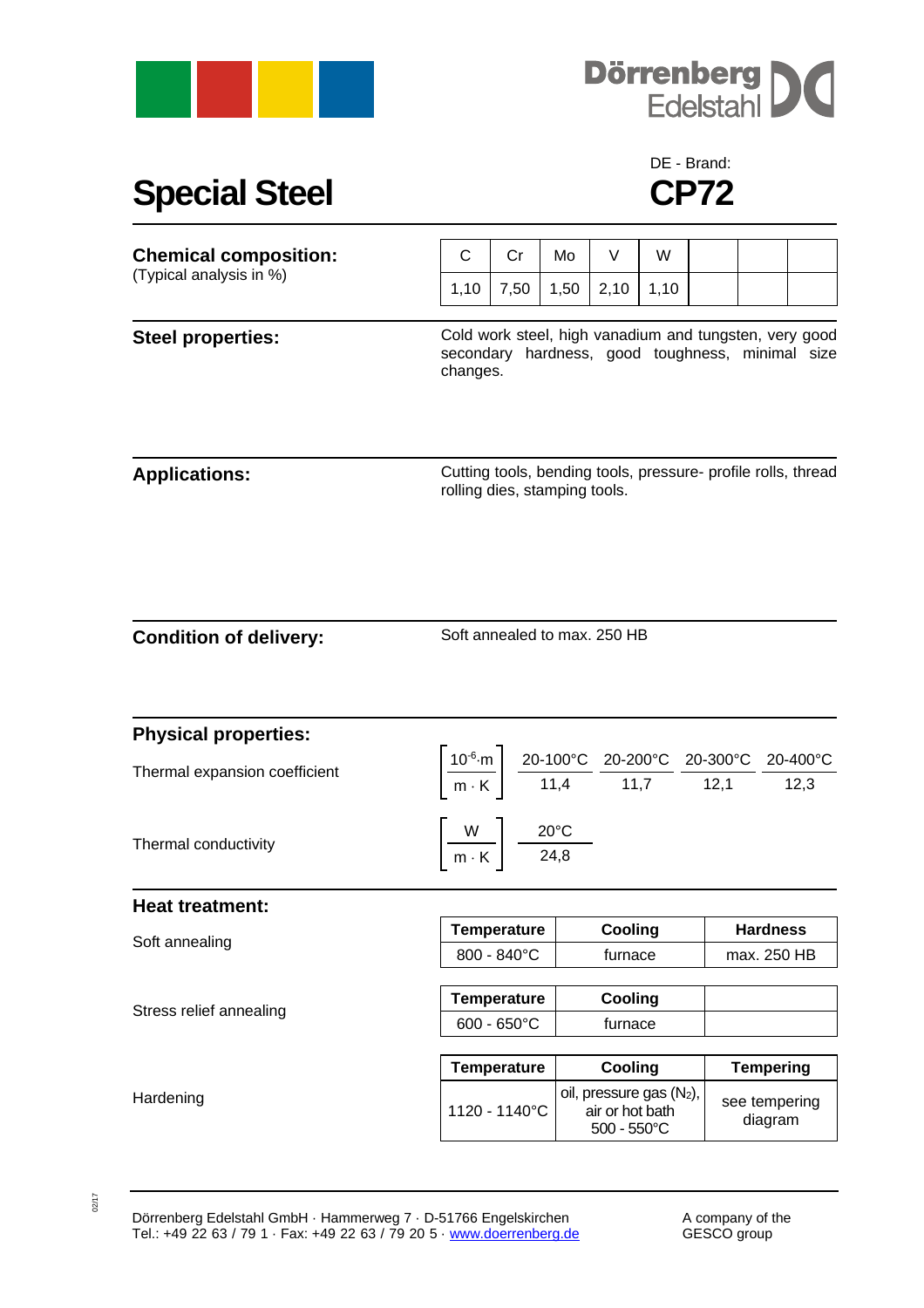



## **Special Steel CP72**

## DE - Brand:

| <b>Chemical composition:</b><br>(Typical analysis in %) | C                                                                                                                      | Cr            | Mo   | V                                                                                                                                                                                                                       | W    |  |                                |  |
|---------------------------------------------------------|------------------------------------------------------------------------------------------------------------------------|---------------|------|-------------------------------------------------------------------------------------------------------------------------------------------------------------------------------------------------------------------------|------|--|--------------------------------|--|
|                                                         | 1,10                                                                                                                   | 7,50          | 1,50 | 2,10                                                                                                                                                                                                                    | 1,10 |  |                                |  |
| <b>Steel properties:</b>                                | Cold work steel, high vanadium and tungsten, very good<br>secondary hardness, good toughness, minimal size<br>changes. |               |      |                                                                                                                                                                                                                         |      |  |                                |  |
| <b>Applications:</b>                                    | Cutting tools, bending tools, pressure- profile rolls, thread<br>rolling dies, stamping tools.                         |               |      |                                                                                                                                                                                                                         |      |  |                                |  |
| <b>Condition of delivery:</b>                           | Soft annealed to max. 250 HB                                                                                           |               |      |                                                                                                                                                                                                                         |      |  |                                |  |
| <b>Physical properties:</b>                             |                                                                                                                        |               |      |                                                                                                                                                                                                                         |      |  |                                |  |
| Thermal expansion coefficient                           |                                                                                                                        |               |      | $\left \frac{10^{-6}\text{ m}}{\text{m} \cdot \text{K}}\right  = \frac{20-100^{\circ}\text{C}}{11,4} = \frac{20-200^{\circ}\text{C}}{11,7} = \frac{20-300^{\circ}\text{C}}{12,1} = \frac{20-400^{\circ}\text{C}}{12,3}$ |      |  |                                |  |
| Thermal conductivity                                    | $\left\lceil \frac{W}{m\cdot K} \right\rceil \frac{20^{\circ}C}{24,8}$                                                 |               |      |                                                                                                                                                                                                                         |      |  |                                |  |
| <b>Heat treatment:</b>                                  |                                                                                                                        |               |      |                                                                                                                                                                                                                         |      |  |                                |  |
| Soft annealing<br>Stress relief annealing               | <b>Temperature</b><br>800 - 840°C                                                                                      |               |      | Cooling<br>furnace                                                                                                                                                                                                      |      |  | <b>Hardness</b><br>max. 250 HB |  |
|                                                         |                                                                                                                        |               |      |                                                                                                                                                                                                                         |      |  |                                |  |
|                                                         | <b>Temperature</b><br>600 - 650°C                                                                                      |               |      | Cooling<br>furnace                                                                                                                                                                                                      |      |  |                                |  |
|                                                         |                                                                                                                        |               |      |                                                                                                                                                                                                                         |      |  |                                |  |
|                                                         | <b>Temperature</b>                                                                                                     |               |      | Cooling                                                                                                                                                                                                                 |      |  | <b>Tempering</b>               |  |
| Hardening                                               |                                                                                                                        | 1120 - 1140°C |      | oil, pressure gas (N2),<br>air or hot bath<br>$500 - 550^{\circ}$ C                                                                                                                                                     |      |  | see tempering<br>diagram       |  |